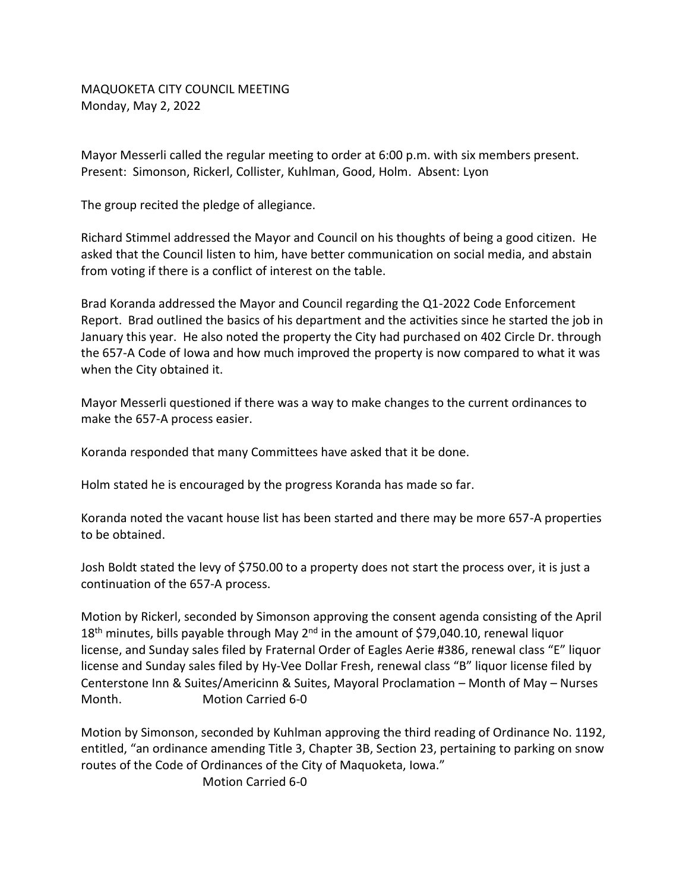MAQUOKETA CITY COUNCIL MEETING Monday, May 2, 2022

Mayor Messerli called the regular meeting to order at 6:00 p.m. with six members present. Present: Simonson, Rickerl, Collister, Kuhlman, Good, Holm. Absent: Lyon

The group recited the pledge of allegiance.

Richard Stimmel addressed the Mayor and Council on his thoughts of being a good citizen. He asked that the Council listen to him, have better communication on social media, and abstain from voting if there is a conflict of interest on the table.

Brad Koranda addressed the Mayor and Council regarding the Q1-2022 Code Enforcement Report. Brad outlined the basics of his department and the activities since he started the job in January this year. He also noted the property the City had purchased on 402 Circle Dr. through the 657-A Code of Iowa and how much improved the property is now compared to what it was when the City obtained it.

Mayor Messerli questioned if there was a way to make changes to the current ordinances to make the 657-A process easier.

Koranda responded that many Committees have asked that it be done.

Holm stated he is encouraged by the progress Koranda has made so far.

Koranda noted the vacant house list has been started and there may be more 657-A properties to be obtained.

Josh Boldt stated the levy of \$750.00 to a property does not start the process over, it is just a continuation of the 657-A process.

Motion by Rickerl, seconded by Simonson approving the consent agenda consisting of the April  $18<sup>th</sup>$  minutes, bills payable through May  $2<sup>nd</sup>$  in the amount of \$79,040.10, renewal liquor license, and Sunday sales filed by Fraternal Order of Eagles Aerie #386, renewal class "E" liquor license and Sunday sales filed by Hy-Vee Dollar Fresh, renewal class "B" liquor license filed by Centerstone Inn & Suites/Americinn & Suites, Mayoral Proclamation – Month of May – Nurses Month. Motion Carried 6-0

Motion by Simonson, seconded by Kuhlman approving the third reading of Ordinance No. 1192, entitled, "an ordinance amending Title 3, Chapter 3B, Section 23, pertaining to parking on snow routes of the Code of Ordinances of the City of Maquoketa, Iowa."

Motion Carried 6-0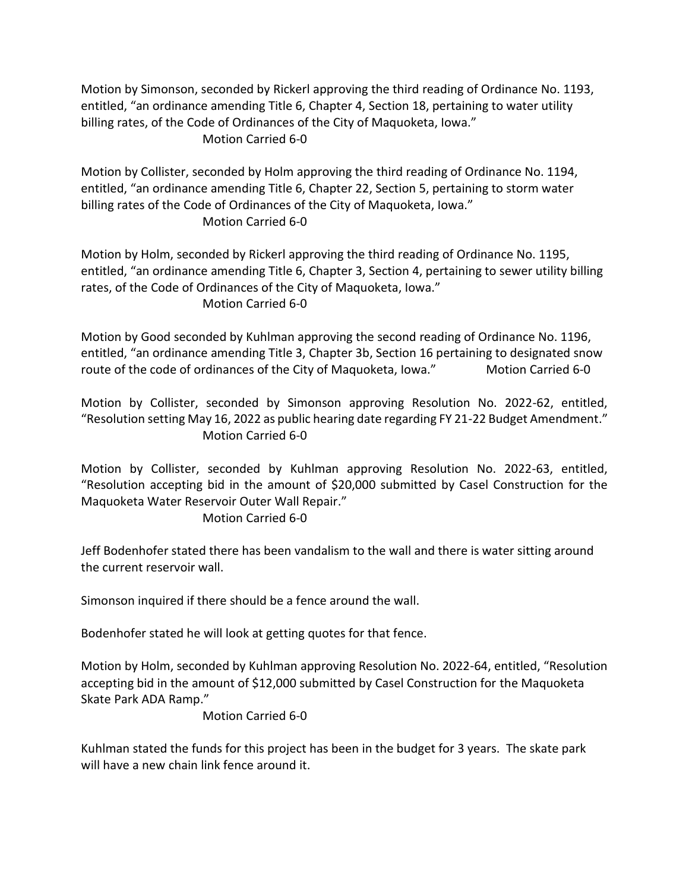Motion by Simonson, seconded by Rickerl approving the third reading of Ordinance No. 1193, entitled, "an ordinance amending Title 6, Chapter 4, Section 18, pertaining to water utility billing rates, of the Code of Ordinances of the City of Maquoketa, Iowa."

## Motion Carried 6-0

Motion by Collister, seconded by Holm approving the third reading of Ordinance No. 1194, entitled, "an ordinance amending Title 6, Chapter 22, Section 5, pertaining to storm water billing rates of the Code of Ordinances of the City of Maquoketa, Iowa." Motion Carried 6-0

Motion by Holm, seconded by Rickerl approving the third reading of Ordinance No. 1195, entitled, "an ordinance amending Title 6, Chapter 3, Section 4, pertaining to sewer utility billing rates, of the Code of Ordinances of the City of Maquoketa, Iowa." Motion Carried 6-0

Motion by Good seconded by Kuhlman approving the second reading of Ordinance No. 1196, entitled, "an ordinance amending Title 3, Chapter 3b, Section 16 pertaining to designated snow route of the code of ordinances of the City of Maquoketa, Iowa." Motion Carried 6-0

Motion by Collister, seconded by Simonson approving Resolution No. 2022-62, entitled, "Resolution setting May 16, 2022 as public hearing date regarding FY 21-22 Budget Amendment." Motion Carried 6-0

Motion by Collister, seconded by Kuhlman approving Resolution No. 2022-63, entitled, "Resolution accepting bid in the amount of \$20,000 submitted by Casel Construction for the Maquoketa Water Reservoir Outer Wall Repair."

## Motion Carried 6-0

Jeff Bodenhofer stated there has been vandalism to the wall and there is water sitting around the current reservoir wall.

Simonson inquired if there should be a fence around the wall.

Bodenhofer stated he will look at getting quotes for that fence.

Motion by Holm, seconded by Kuhlman approving Resolution No. 2022-64, entitled, "Resolution accepting bid in the amount of \$12,000 submitted by Casel Construction for the Maquoketa Skate Park ADA Ramp."

Motion Carried 6-0

Kuhlman stated the funds for this project has been in the budget for 3 years. The skate park will have a new chain link fence around it.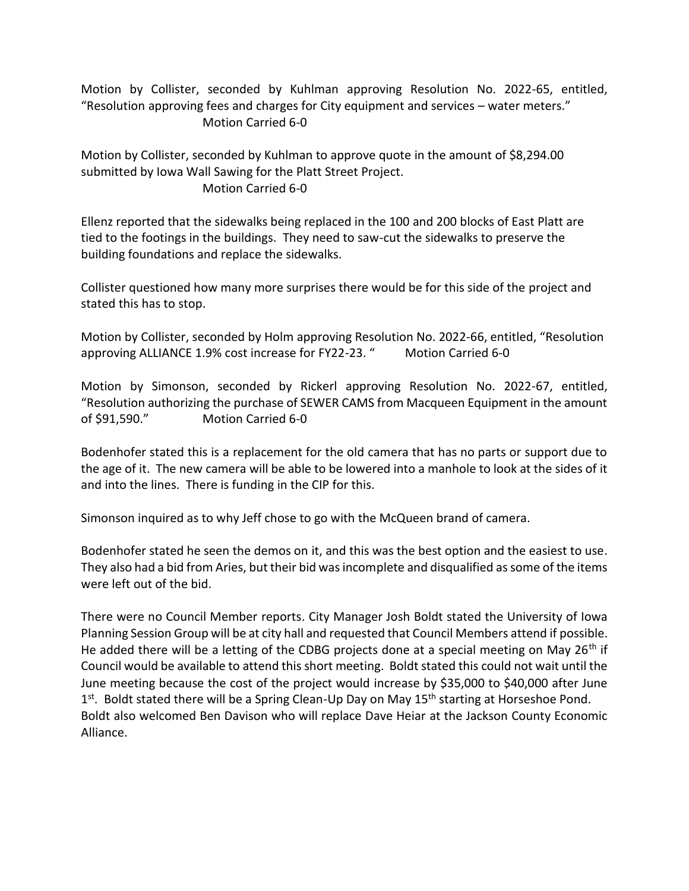Motion by Collister, seconded by Kuhlman approving Resolution No. 2022-65, entitled, "Resolution approving fees and charges for City equipment and services – water meters." Motion Carried 6-0

Motion by Collister, seconded by Kuhlman to approve quote in the amount of \$8,294.00 submitted by Iowa Wall Sawing for the Platt Street Project. Motion Carried 6-0

Ellenz reported that the sidewalks being replaced in the 100 and 200 blocks of East Platt are tied to the footings in the buildings. They need to saw-cut the sidewalks to preserve the building foundations and replace the sidewalks.

Collister questioned how many more surprises there would be for this side of the project and stated this has to stop.

Motion by Collister, seconded by Holm approving Resolution No. 2022-66, entitled, "Resolution approving ALLIANCE 1.9% cost increase for FY22-23. "Motion Carried 6-0

Motion by Simonson, seconded by Rickerl approving Resolution No. 2022-67, entitled, "Resolution authorizing the purchase of SEWER CAMS from Macqueen Equipment in the amount of \$91,590." Motion Carried 6-0

Bodenhofer stated this is a replacement for the old camera that has no parts or support due to the age of it. The new camera will be able to be lowered into a manhole to look at the sides of it and into the lines. There is funding in the CIP for this.

Simonson inquired as to why Jeff chose to go with the McQueen brand of camera.

Bodenhofer stated he seen the demos on it, and this was the best option and the easiest to use. They also had a bid from Aries, but their bid was incomplete and disqualified as some of the items were left out of the bid.

There were no Council Member reports. City Manager Josh Boldt stated the University of Iowa Planning Session Group will be at city hall and requested that Council Members attend if possible. He added there will be a letting of the CDBG projects done at a special meeting on May 26<sup>th</sup> if Council would be available to attend this short meeting. Boldt stated this could not wait until the June meeting because the cost of the project would increase by \$35,000 to \$40,000 after June 1<sup>st</sup>. Boldt stated there will be a Spring Clean-Up Day on May 15<sup>th</sup> starting at Horseshoe Pond. Boldt also welcomed Ben Davison who will replace Dave Heiar at the Jackson County Economic Alliance.